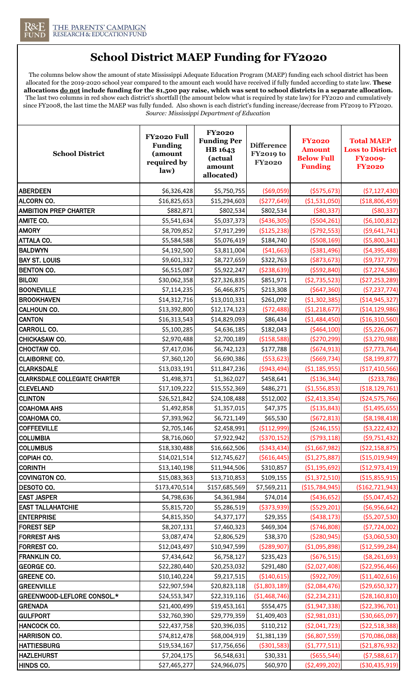

## **School District MAEP Funding for FY2020**

The columns below show the amount of state Mississippi Adequate Education Program (MAEP) funding each school district has been allocated for the 2019-2020 school year compared to the amount each would have received if fully funded according to state law. **These allocations do not include funding for the \$1,500 pay raise, which was sent to school districts in a separate allocation.**  The last two columns in red show each district's shortfall (the amount below what is required by state law) for FY2020 and cumulatively since FY2008, the last time the MAEP was fully funded. Also shown is each district's funding increase/decrease from FY2019 to FY2020. *Source: Mississippi Department of Education*

| <b>School District</b>               | FY2020 Full<br><b>Funding</b><br>(amount<br>required by<br>law) | <b>FY2020</b><br><b>Funding Per</b><br>HB 1643<br>(actual<br>amount<br>allocated) | <b>Difference</b><br><b>FY2019 to</b><br><b>FY2020</b> | <b>FY2020</b><br><b>Amount</b><br><b>Below Full</b><br><b>Funding</b> | <b>Total MAEP</b><br><b>Loss to District</b><br><b>FY2009-</b><br><b>FY2020</b> |
|--------------------------------------|-----------------------------------------------------------------|-----------------------------------------------------------------------------------|--------------------------------------------------------|-----------------------------------------------------------------------|---------------------------------------------------------------------------------|
| <b>ABERDEEN</b>                      | \$6,326,428                                                     | \$5,750,755                                                                       | ( \$69,059)                                            | ( \$575, 673)                                                         | (57, 127, 430)                                                                  |
| <b>ALCORN CO.</b>                    | \$16,825,653                                                    | \$15,294,603                                                                      | (\$277,649)                                            | (\$1,531,050)                                                         | ( \$18,806,459)                                                                 |
| <b>AMBITION PREP CHARTER</b>         | \$882,871                                                       | \$802,534                                                                         | \$802,534                                              | ( \$80, 337)                                                          | ( \$80, 337)                                                                    |
| <b>AMITE CO.</b>                     | \$5,541,634                                                     | \$5,037,373                                                                       | ( \$436, 305)                                          | ( \$504, 261)                                                         | (56, 100, 812)                                                                  |
| <b>AMORY</b>                         | \$8,709,852                                                     | \$7,917,299                                                                       | (\$125,238)                                            | (5792, 553)                                                           | ( \$9,641,741)                                                                  |
| <b>ATTALA CO.</b>                    | \$5,584,588                                                     | \$5,076,419                                                                       | \$184,740                                              | ( \$508, 169)                                                         | ( \$5,800,341)                                                                  |
| <b>BALDWYN</b>                       | \$4,192,500                                                     | \$3,811,004                                                                       | ( \$41,663)                                            | ( \$381,496)                                                          | ( \$4,395,488)                                                                  |
| <b>BAY ST. LOUIS</b>                 | \$9,601,332                                                     | \$8,727,659                                                                       | \$322,763                                              | ( \$873, 673)                                                         | ( \$9,737,779)                                                                  |
| <b>BENTON CO.</b>                    | \$6,515,087                                                     | \$5,922,247                                                                       | ( \$238, 639)                                          | ( \$592, 840)                                                         | (57, 274, 586)                                                                  |
| <b>BILOXI</b>                        | \$30,062,358                                                    | \$27,326,835                                                                      | \$851,971                                              | (\$2,735,523)                                                         | (\$27,253,289)                                                                  |
| <b>BOONEVILLE</b>                    | \$7,114,235                                                     | \$6,466,875                                                                       | \$213,308                                              | (5647,360)                                                            | ( \$7,237,774)                                                                  |
| <b>BROOKHAVEN</b>                    | \$14,312,716                                                    | \$13,010,331                                                                      | \$261,092                                              | (\$1,302,385)                                                         | ( \$14, 945, 327)                                                               |
| <b>CALHOUN CO.</b>                   | \$13,392,800                                                    | \$12,174,123                                                                      | (572, 488)                                             | (\$1,218,677)                                                         | ( \$14, 129, 986)                                                               |
| <b>CANTON</b>                        | \$16,313,543                                                    | \$14,829,093                                                                      | \$86,434                                               | (\$1,484,450)                                                         | (\$16,310,560)                                                                  |
| <b>CARROLL CO.</b>                   | \$5,100,285                                                     | \$4,636,185                                                                       | \$182,043                                              | ( \$464, 100)                                                         | ( \$5,226,067)                                                                  |
| <b>CHICKASAW CO.</b>                 | \$2,970,488                                                     | \$2,700,189                                                                       | ( \$158, 588)                                          | (\$270,299)                                                           | ( \$3, 270, 988)                                                                |
| CHOCTAW CO.                          | \$7,417,036                                                     | \$6,742,123                                                                       | \$177,788                                              | (5674, 913)                                                           | (57, 773, 764)                                                                  |
| <b>CLAIBORNE CO.</b>                 | \$7,360,120                                                     | \$6,690,386                                                                       | ( \$53, 623)                                           | ( \$669, 734)                                                         | ( \$8,199,877)                                                                  |
| <b>CLARKSDALE</b>                    | \$13,033,191                                                    | \$11,847,236                                                                      | ( \$943, 494)                                          | ( \$1,185,955)                                                        | (\$17,410,566)                                                                  |
| <b>CLARKSDALE COLLEGIATE CHARTER</b> | \$1,498,371                                                     | \$1,362,027                                                                       | \$458,641                                              | ( \$136, 344)                                                         | ( \$233, 786)                                                                   |
| <b>CLEVELAND</b>                     | \$17,109,222                                                    | \$15,552,369                                                                      | \$486,271                                              | (\$1,556,853)                                                         | ( \$18, 129, 761)                                                               |
| <b>CLINTON</b>                       | \$26,521,842                                                    | \$24,108,488                                                                      | \$512,002                                              | ( \$2,413,354)                                                        | ( \$24,575,766)                                                                 |
| <b>COAHOMA AHS</b>                   | \$1,492,858                                                     | \$1,357,015                                                                       | \$47,375                                               | ( \$135, 843)                                                         | (\$1,495,655)                                                                   |
| COAHOMA CO.                          | \$7,393,962                                                     | \$6,721,149                                                                       | \$65,530                                               | (5672, 813)                                                           | ( \$8,198,418)                                                                  |
| <b>COFFEEVILLE</b>                   | \$2,705,146                                                     | \$2,458,991                                                                       | (\$112,999)                                            | ( \$246, 155)                                                         | ( \$3,222,432)                                                                  |
| <b>COLUMBIA</b>                      | \$8,716,060                                                     | \$7,922,942                                                                       | ( \$370, 152)                                          | (5793, 118)                                                           | (59, 751, 432)                                                                  |
| <b>COLUMBUS</b>                      | \$18,330,488                                                    | \$16,662,506                                                                      | ( \$343, 434)                                          | ( \$1,667,982)                                                        | ( \$22,158,875)                                                                 |
| COPIAH CO.                           | \$14,021,514                                                    | \$12,745,627                                                                      | ( \$616, 445)                                          | (\$1,275,887)                                                         | ( \$15,019,949)                                                                 |
| <b>CORINTH</b>                       | \$13,140,198                                                    | \$11,944,506                                                                      | \$310,857                                              | ( \$1,195,692)                                                        | (\$12,973,419)                                                                  |
| COVINGTON CO.                        | \$15,083,363                                                    | \$13,710,853                                                                      | \$109,155                                              | (\$1,372,510)                                                         | ( \$15,855,915)                                                                 |
| <b>DESOTO CO.</b>                    | \$173,470,514                                                   | \$157,685,569                                                                     | \$7,569,211                                            | (\$15,784,945)                                                        | (\$162,721,943)                                                                 |
| <b>EAST JASPER</b>                   | \$4,798,636                                                     | \$4,361,984                                                                       | \$74,014                                               | ( \$436, 652)                                                         | ( \$5,047,452)                                                                  |
| <b>EAST TALLAHATCHIE</b>             | \$5,815,720                                                     | \$5,286,519                                                                       | ( \$373, 939)                                          | ( \$529, 201)                                                         | ( \$6,956,642)                                                                  |
| <b>ENTERPRISE</b>                    | \$4,815,350                                                     | \$4,377,177                                                                       | \$29,355                                               | (5438, 173)                                                           | ( \$5,207,530)                                                                  |
| <b>FOREST SEP</b>                    | \$8,207,131                                                     | \$7,460,323                                                                       | \$469,304                                              | ( \$746, 808)                                                         | (57, 724, 002)                                                                  |
| <b>FORREST AHS</b>                   | \$3,087,474                                                     | \$2,806,529                                                                       | \$38,370                                               | ( \$280, 945)                                                         | ( \$3,060,530)                                                                  |
| <b>FORREST CO.</b>                   | \$12,043,497                                                    | \$10,947,599                                                                      | ( \$289, 907)                                          | ( \$1,095,898)                                                        | (\$12,599,284)                                                                  |
| <b>FRANKLIN CO.</b>                  | \$7,434,642                                                     | \$6,758,127                                                                       | \$235,423                                              | ( \$676, 515)                                                         | ( \$8, 261, 693)                                                                |
| <b>GEORGE CO.</b>                    | \$22,280,440                                                    | \$20,253,032                                                                      | \$291,480                                              | ( \$2,027,408)                                                        | ( \$22,956,466)                                                                 |
| <b>GREENE CO.</b>                    | \$10,140,224                                                    | \$9,217,515                                                                       | ( \$140, 615)                                          | (\$922,709)                                                           | (\$11,402,616)                                                                  |
| <b>GREENVILLE</b>                    | \$22,907,594                                                    | \$20,823,118                                                                      | ( \$1,803,189)                                         | ( \$2,084,476)                                                        | ( \$29,650,327)                                                                 |
| GREENWOOD-LEFLORE CONSOL.*           | \$24,553,347                                                    | \$22,319,116                                                                      | (\$1,468,746)                                          | (52, 234, 231)                                                        | ( \$28, 160, 810)                                                               |
| <b>GRENADA</b>                       | \$21,400,499                                                    | \$19,453,161                                                                      | \$554,475                                              | ( \$1,947,338)                                                        | (\$22,396,701)                                                                  |
| <b>GULFPORT</b>                      | \$32,760,390                                                    | \$29,779,359                                                                      | \$1,409,403                                            | ( \$2,981,031)                                                        | ( \$30,665,097)                                                                 |
| HANCOCK CO.                          | \$22,437,758                                                    | \$20,396,035                                                                      | \$110,212                                              | ( \$2,041,723)                                                        | ( \$22,518,388)                                                                 |
| <b>HARRISON CO.</b>                  | \$74,812,478                                                    | \$68,004,919                                                                      | \$1,381,139                                            | ( \$6,807,559)                                                        | ( \$70,086,088)                                                                 |
| <b>HATTIESBURG</b>                   | \$19,534,167                                                    | \$17,756,656                                                                      | ( \$301, 583)                                          | (\$1,777,511)                                                         | (\$21,876,932)                                                                  |
| <b>HAZLEHURST</b>                    | \$7,204,175                                                     | \$6,548,631                                                                       | \$30,331                                               | ( \$655, 544)                                                         | (57,588,617)                                                                    |
| HINDS CO.                            | \$27,465,277                                                    | \$24,966,075                                                                      | \$60,970                                               | ( \$2,499,202)                                                        | ( \$30,435,919)                                                                 |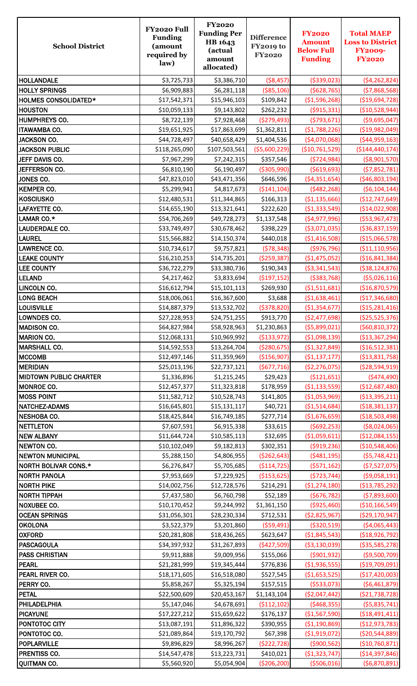| <b>School District</b>               | FY2020 Full<br><b>Funding</b><br>(amount<br>required by<br>law) | <b>FY2020</b><br><b>Funding Per</b><br>HB 1643<br>(actual<br>amount<br>allocated) | <b>Difference</b><br><b>FY2019 to</b><br><b>FY2020</b> | <b>FY2020</b><br><b>Amount</b><br><b>Below Full</b><br><b>Funding</b> | <b>Total MAEP</b><br><b>Loss to District</b><br><b>FY2009-</b><br><b>FY2020</b> |
|--------------------------------------|-----------------------------------------------------------------|-----------------------------------------------------------------------------------|--------------------------------------------------------|-----------------------------------------------------------------------|---------------------------------------------------------------------------------|
| <b>HOLLANDALE</b>                    | \$3,725,733                                                     | \$3,386,710                                                                       | ( \$8,457)                                             | ( \$339, 023)                                                         | (\$4,262,824)                                                                   |
| <b>HOLLY SPRINGS</b>                 | \$6,909,883                                                     | \$6,281,118                                                                       | ( \$85, 106)                                           | ( \$628, 765)                                                         | (57,868,568)                                                                    |
| <b>HOLMES CONSOLIDATED*</b>          | \$17,542,371                                                    | \$15,946,103                                                                      | \$109,842                                              | (\$1,596,268)                                                         | ( \$19,694,728)                                                                 |
| <b>HOUSTON</b>                       | \$10,059,133                                                    | \$9,143,802                                                                       | \$262,232                                              | ( \$915, 331)                                                         | ( \$10,528,944)                                                                 |
| <b>HUMPHREYS CO.</b>                 | \$8,722,139                                                     | \$7,928,468                                                                       | (\$279,493)                                            | (5793, 671)                                                           | ( \$9,695,047)                                                                  |
| <b>ITAWAMBA CO.</b>                  | \$19,651,925                                                    | \$17,863,699                                                                      | \$1,362,811                                            | (\$1,788,226)                                                         | ( \$19,982,049]                                                                 |
| <b>JACKSON CO.</b>                   | \$44,728,497                                                    | \$40,658,429                                                                      | \$1,404,536                                            | (\$4,070,068)                                                         | ( \$44, 959, 163)                                                               |
| <b>JACKSON PUBLIC</b>                | \$118,265,090                                                   | \$107,503,561                                                                     | ( \$5,600,229)                                         | (\$10,761,529)                                                        | ( \$144, 440, 174)                                                              |
| JEFF DAVIS CO.                       | \$7,967,299                                                     | \$7,242,315                                                                       | \$357,546                                              | ( \$724, 984)                                                         | ( \$8,901,570)                                                                  |
| JEFFERSON CO.                        | \$6,810,190                                                     | \$6,190,497                                                                       | ( \$305, 990)                                          | ( \$619, 693)                                                         | ( \$7,852,781)                                                                  |
| JONES CO.                            | \$47,823,010                                                    | \$43,471,356                                                                      | \$646,596                                              | ( \$4,351,654)                                                        | ( \$46, 803, 194)                                                               |
| <b>KEMPER CO.</b>                    | \$5,299,941                                                     | \$4,817,673                                                                       | ( \$141, 104)                                          | (5482, 268)                                                           | ( \$6,104,144)                                                                  |
| <b>KOSCIUSKO</b>                     | \$12,480,531                                                    | \$11,344,865                                                                      | \$166,313                                              | (\$1,135,666)                                                         | (\$12,747,649)                                                                  |
| LAFAYETTE CO.                        | \$14,655,190                                                    | \$13,321,641                                                                      | \$222,620                                              | (\$1,333,549)                                                         | (\$14,022,908)                                                                  |
| LAMAR CO.*                           | \$54,706,269                                                    | \$49,728,273                                                                      | \$1,137,548                                            | (\$4,977,996)                                                         | ( \$53, 967, 473)                                                               |
| LAUDERDALE CO.                       | \$33,749,497                                                    | \$30,678,462                                                                      | \$398,229                                              | ( \$3,071,035)                                                        | ( \$36, 837, 159)                                                               |
| <b>LAUREL</b>                        | \$15,566,882                                                    | \$14,150,374                                                                      | \$440,018                                              | (\$1,416,508)                                                         | ( \$15,066,578)                                                                 |
| <b>LAWRENCE CO.</b>                  | \$10,734,617                                                    | \$9,757,821                                                                       | (578, 348)                                             | (\$976,796)                                                           | ( \$11, 110, 956)                                                               |
| <b>LEAKE COUNTY</b>                  | \$16,210,253                                                    | \$14,735,201                                                                      | ( \$259, 387)                                          | (\$1,475,052)                                                         | ( \$16, 841, 384)                                                               |
| <b>LEE COUNTY</b>                    | \$36,722,279                                                    | \$33,380,736                                                                      | \$190,343                                              | ( \$3,341,543)                                                        | ( \$38, 124, 876)                                                               |
| <b>LELAND</b>                        | \$4,217,462                                                     | \$3,833,694                                                                       | ( \$197, 152)                                          | ( \$383, 768)                                                         | ( \$5,026,116)                                                                  |
| LINCOLN CO.                          | \$16,612,794                                                    | \$15,101,113                                                                      | \$269,930                                              | ( \$1,511,681)                                                        | (\$16,870,579)                                                                  |
| <b>LONG BEACH</b>                    | \$18,006,061                                                    | \$16,367,600                                                                      | \$3,688                                                | (\$1,638,461)                                                         | (\$17,346,680)                                                                  |
| <b>LOUISVILLE</b>                    | \$14,887,379                                                    | \$13,532,702                                                                      | ( \$378, 820)                                          | (\$1,354,677)                                                         | (\$15,281,416)                                                                  |
| LOWNDES CO.                          | \$27,228,953                                                    | \$24,751,255                                                                      | \$913,770                                              | (\$2,477,698)                                                         | ( \$25,525,376)                                                                 |
| <b>MADISON CO.</b>                   | \$64,827,984                                                    | \$58,928,963                                                                      | \$1,230,863                                            | (55,899,021)                                                          | ( \$60, 810, 372]                                                               |
| <b>MARION CO.</b>                    | \$12,068,131                                                    | \$10,969,992                                                                      | ( \$133, 972)                                          | (\$1,098,139)                                                         | ( \$13,367,294)                                                                 |
| <b>MARSHALL CO.</b><br><b>MCCOMB</b> | \$14,592,553                                                    | \$13,264,704                                                                      | ( \$280, 675)                                          | (\$1,327,849)                                                         | ( \$16,512,381)                                                                 |
| <b>MERIDIAN</b>                      | \$12,497,146<br>\$25,013,196                                    | \$11,359,969                                                                      | (\$156,907)<br>(5677, 716)                             | ( \$1,137,177)<br>(\$2,276,075)                                       | ( \$13,831,758)                                                                 |
| <b>MIDTOWN PUBLIC CHARTER</b>        | \$1,336,896                                                     | \$22,737,121<br>\$1,215,245                                                       | \$29,423                                               | ( \$121,651)                                                          | ( \$28,594,919]<br>( \$474,490)                                                 |
| MONROE CO.                           | \$12,457,377                                                    | \$11,323,818                                                                      | \$178,959                                              | ( \$1,133,559)                                                        | (\$12,687,480)                                                                  |
| <b>MOSS POINT</b>                    | \$11,582,712                                                    | \$10,528,743                                                                      | \$141,805                                              | (\$1,053,969)                                                         | ( \$13,395,211)                                                                 |
| NATCHEZ-ADAMS                        | \$16,645,801                                                    | \$15,131,117                                                                      | \$40,721                                               | ( \$1,514,684)                                                        | ( \$18, 381, 137)                                                               |
| NESHOBA CO.                          | \$18,425,844                                                    | \$16,749,185                                                                      | \$277,714                                              | (\$1,676,659)                                                         | ( \$18,503,498)                                                                 |
| <b>NETTLETON</b>                     | \$7,607,591                                                     | \$6,915,338                                                                       | \$33,615                                               | (5692, 253)                                                           | ( \$8,024,065)                                                                  |
| <b>NEW ALBANY</b>                    | \$11,644,724                                                    | \$10,585,113                                                                      | \$32,695                                               | ( \$1,059,611)                                                        | ( \$12,084,155)                                                                 |
| <b>NEWTON CO.</b>                    | \$10,102,049                                                    | \$9,182,813                                                                       | \$302,351                                              | ( \$919, 236)                                                         | ( \$10,548,406)                                                                 |
| <b>NEWTON MUNICIPAL</b>              | \$5,288,150                                                     | \$4,806,955                                                                       | ( \$262, 643)                                          | (5481, 195)                                                           | (55,748,421)                                                                    |
| <b>NORTH BOLIVAR CONS.*</b>          | \$6,276,847                                                     | \$5,705,685                                                                       | ( \$114, 725)                                          | (5571, 162)                                                           | ( \$7,527,075)                                                                  |
| <b>NORTH PANOLA</b>                  | \$7,953,669                                                     | \$7,229,925                                                                       | ( \$153, 625)                                          | ( \$723, 744)                                                         | ( \$9,058,191)                                                                  |
| <b>NORTH PIKE</b>                    | \$14,002,756                                                    | \$12,728,576                                                                      | \$214,291                                              | (\$1,274,180)                                                         | ( \$13,785,292)                                                                 |
| <b>NORTH TIPPAH</b>                  | \$7,437,580                                                     | \$6,760,798                                                                       | \$52,189                                               | ( \$676, 782)                                                         | ( \$7,893,600)                                                                  |
| <b>NOXUBEE CO.</b>                   | \$10,170,452                                                    | \$9,244,992                                                                       | \$1,361,150                                            | ( \$925, 460)                                                         | (\$10,166,549)                                                                  |
| <b>OCEAN SPRINGS</b>                 | \$31,056,301                                                    | \$28,230,334                                                                      | \$712,531                                              | ( \$2,825,967)                                                        | ( \$29, 170, 947]                                                               |
| <b>OKOLONA</b>                       | \$3,522,379                                                     | \$3,201,860                                                                       | ( \$59,491)                                            | ( \$320, 519)                                                         | ( \$4,065,443)                                                                  |
| <b>OXFORD</b>                        | \$20,281,808                                                    | \$18,436,265                                                                      | \$623,647                                              | ( \$1,845,543)                                                        | ( \$18, 926, 792)                                                               |
| <b>PASCAGOULA</b>                    | \$34,397,932                                                    | \$31,267,893                                                                      | (\$427,509)                                            | ( \$3,130,039)                                                        | ( \$35,585,278)                                                                 |
| <b>PASS CHRISTIAN</b>                | \$9,911,888                                                     | \$9,009,956                                                                       | \$155,066                                              | ( \$901, 932)                                                         | ( \$9,500,709)                                                                  |
| <b>PEARL</b>                         | \$21,281,999                                                    | \$19,345,444                                                                      | \$776,836                                              | ( \$1,936,555)                                                        | ( \$19,709,091)                                                                 |
| PEARL RIVER CO.                      | \$18,171,605                                                    | \$16,518,080                                                                      | \$527,545                                              | ( \$1,653,525)                                                        | (\$17,420,003)                                                                  |
| PERRY CO.                            | \$5,858,267                                                     | \$5,325,194                                                                       | \$157,515                                              | ( \$533,073)                                                          | ( \$6,461,879)                                                                  |
| <b>PETAL</b>                         | \$22,500,609                                                    | \$20,453,167                                                                      | \$1,143,104                                            | ( \$2,047,442)                                                        | (\$21,738,728)                                                                  |
| PHILADELPHIA                         | \$5,147,046                                                     | \$4,678,691                                                                       | ( \$112, 102)                                          | ( \$468, 355)                                                         | ( \$5,835,741)                                                                  |
| <b>PICAYUNE</b>                      | \$17,227,212                                                    | \$15,659,622                                                                      | \$176,137                                              | (\$1,567,590)                                                         | ( \$18,491,411)                                                                 |
| PONTOTOC CITY                        | \$13,087,191                                                    | \$11,896,322                                                                      | \$390,955                                              | (\$1,190,869)                                                         | (\$12,973,783)                                                                  |
| PONTOTOC CO.                         | \$21,089,864                                                    | \$19,170,792                                                                      | \$67,398                                               | ( \$1,919,072)                                                        | ( \$20,544,889)                                                                 |
| <b>POPLARVILLE</b>                   | \$9,896,829                                                     | \$8,996,267                                                                       | (\$222,728)                                            | (\$900,562)                                                           | (\$10,760,871)                                                                  |
| PRENTISS CO.                         | \$14,547,478                                                    | \$13,223,731                                                                      | \$410,021                                              | ( \$1,323,747)                                                        | ( \$14, 397, 846)                                                               |
| <b>QUITMAN CO.</b>                   | \$5,560,920                                                     | \$5,054,904                                                                       | ( \$206, 200)                                          | ( \$506,016)                                                          | (56,870,891)                                                                    |